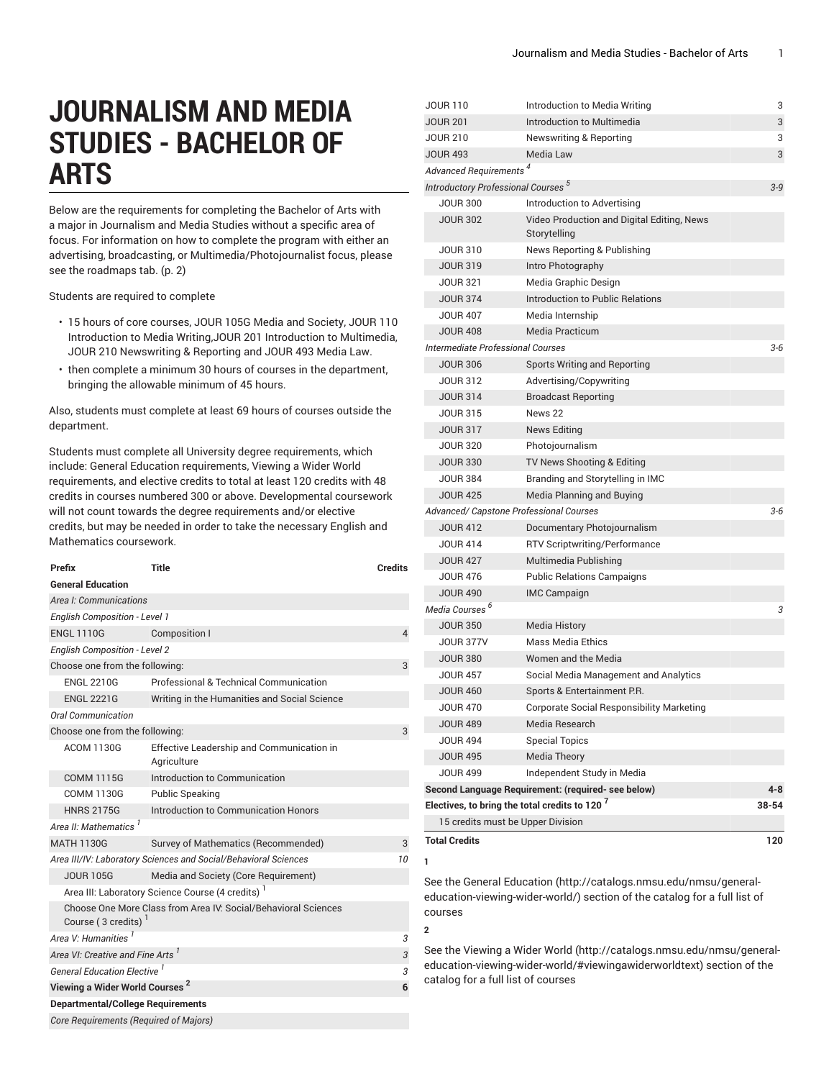# **JOURNALISM AND MEDIA STUDIES - BACHELOR OF ARTS**

<span id="page-0-0"></span>Below are the requirements for completing the Bachelor of Arts with a major in Journalism and Media Studies without a specific area of focus. For information on how to complete the program with either an advertising, broadcasting, or Multimedia/Photojournalist focus, please see the [roadmaps](#page-1-0) tab. ([p. 2\)](#page-1-0)

Students are required to complete

- 15 hours of core courses, JOUR 105G Media and Society, JOUR 110 Introduction to Media Writing,JOUR 201 Introduction to Multimedia, JOUR 210 Newswriting & Reporting and JOUR 493 Media Law.
- then complete a minimum 30 hours of courses in the department, bringing the allowable minimum of 45 hours.

Also, students must complete at least 69 hours of courses outside the department.

Students must complete all University degree requirements, which include: General Education requirements, Viewing a Wider World requirements, and elective credits to total at least 120 credits with 48 credits in courses numbered 300 or above. Developmental coursework will not count towards the degree requirements and/or elective credits, but may be needed in order to take the necessary English and Mathematics coursework.

| Prefix                                         | <b>Title</b>                                                    | <b>Credits</b> |
|------------------------------------------------|-----------------------------------------------------------------|----------------|
| <b>General Education</b>                       |                                                                 |                |
| Area I: Communications                         |                                                                 |                |
| <b>English Composition - Level 1</b>           |                                                                 |                |
| <b>ENGL 1110G</b>                              | Composition I                                                   | 4              |
| <b>English Composition - Level 2</b>           |                                                                 |                |
| Choose one from the following:                 |                                                                 | 3              |
| <b>ENGL 2210G</b>                              | Professional & Technical Communication                          |                |
| <b>ENGL 2221G</b>                              | Writing in the Humanities and Social Science                    |                |
| Oral Communication                             |                                                                 |                |
| Choose one from the following:                 |                                                                 | 3              |
| <b>ACOM 1130G</b>                              | Effective Leadership and Communication in<br>Agriculture        |                |
| <b>COMM 1115G</b>                              | Introduction to Communication                                   |                |
| <b>COMM 1130G</b>                              | <b>Public Speaking</b>                                          |                |
| <b>HNRS 2175G</b>                              | Introduction to Communication Honors                            |                |
| Area II: Mathematics <sup>1</sup>              |                                                                 |                |
| <b>MATH 1130G</b>                              | Survey of Mathematics (Recommended)                             | 3              |
|                                                | Area III/IV: Laboratory Sciences and Social/Behavioral Sciences | 10             |
| <b>JOUR 105G</b>                               | Media and Society (Core Requirement)                            |                |
|                                                | Area III: Laboratory Science Course (4 credits) <sup>1</sup>    |                |
| Course (3 credits)                             | Choose One More Class from Area IV: Social/Behavioral Sciences  |                |
| Area V: Humanities <sup>1</sup>                |                                                                 | 3              |
| Area VI: Creative and Fine Arts                |                                                                 | 3              |
| <b>General Education Elective</b> <sup>1</sup> |                                                                 | 3              |
| Viewing a Wider World Courses <sup>2</sup>     |                                                                 | 6              |
| <b>Departmental/College Requirements</b>       |                                                                 |                |
| Core Requirements (Required of Majors)         |                                                                 |                |

| JOUR 110                                             | Introduction to Media Writing                             | 3       |
|------------------------------------------------------|-----------------------------------------------------------|---------|
| <b>JOUR 201</b>                                      | Introduction to Multimedia                                | 3       |
| <b>JOUR 210</b>                                      | <b>Newswriting &amp; Reporting</b>                        | 3       |
| <b>JOUR 493</b>                                      | <b>Media Law</b>                                          | 3       |
| <b>Advanced Requirements</b>                         |                                                           |         |
| <b>Introductory Professional Courses<sup>5</sup></b> |                                                           | $3 - 9$ |
| <b>JOUR 300</b>                                      | Introduction to Advertising                               |         |
| <b>JOUR 302</b>                                      | Video Production and Digital Editing, News                |         |
|                                                      | Storytelling                                              |         |
| <b>JOUR 310</b>                                      | News Reporting & Publishing                               |         |
| <b>JOUR 319</b>                                      | Intro Photography                                         |         |
| <b>JOUR 321</b>                                      | Media Graphic Design                                      |         |
| <b>JOUR 374</b>                                      | Introduction to Public Relations                          |         |
| <b>JOUR 407</b>                                      | Media Internship                                          |         |
| <b>JOUR 408</b>                                      | <b>Media Practicum</b>                                    |         |
| <b>Intermediate Professional Courses</b>             |                                                           | $3 - 6$ |
| <b>JOUR 306</b>                                      | <b>Sports Writing and Reporting</b>                       |         |
| <b>JOUR 312</b>                                      | Advertising/Copywriting                                   |         |
| <b>JOUR 314</b>                                      | <b>Broadcast Reporting</b>                                |         |
| <b>JOUR 315</b>                                      | News 22                                                   |         |
| <b>JOUR 317</b>                                      | News Editing                                              |         |
| <b>JOUR 320</b>                                      | Photojournalism                                           |         |
| <b>JOUR 330</b>                                      | TV News Shooting & Editing                                |         |
| <b>JOUR 384</b>                                      | Branding and Storytelling in IMC                          |         |
| <b>JOUR 425</b>                                      | Media Planning and Buying                                 |         |
|                                                      | Advanced/ Capstone Professional Courses                   | $3 - 6$ |
| <b>JOUR 412</b>                                      | Documentary Photojournalism                               |         |
| <b>JOUR 414</b>                                      | <b>RTV Scriptwriting/Performance</b>                      |         |
| <b>JOUR 427</b>                                      | Multimedia Publishing                                     |         |
| <b>JOUR 476</b>                                      | <b>Public Relations Campaigns</b>                         |         |
| <b>JOUR 490</b>                                      | <b>IMC Campaign</b>                                       |         |
| Media Courses <sup>b</sup>                           |                                                           | 3       |
| <b>JOUR 350</b>                                      | Media History                                             |         |
| <b>JOUR 377V</b>                                     | <b>Mass Media Ethics</b>                                  |         |
| <b>JOUR 380</b>                                      | Women and the Media                                       |         |
| <b>JOUR 457</b>                                      | Social Media Management and Analytics                     |         |
| <b>JOUR 460</b>                                      | Sports & Entertainment P.R.                               |         |
| <b>JOUR 470</b>                                      | Corporate Social Responsibility Marketing                 |         |
| <b>JOUR 489</b>                                      | Media Research                                            |         |
| <b>JOUR 494</b>                                      | <b>Special Topics</b>                                     |         |
| <b>JOUR 495</b>                                      | <b>Media Theory</b>                                       |         |
| <b>JOUR 499</b>                                      | Independent Study in Media                                |         |
|                                                      | Second Language Requirement: (required- see below)        | 4-8     |
|                                                      | Electives, to bring the total credits to 120 <sup>7</sup> | 38-54   |
|                                                      | 15 credits must be Upper Division                         |         |
| <b>Total Credits</b>                                 |                                                           | 120     |
|                                                      |                                                           |         |
| 1                                                    |                                                           |         |

See the General [Education](http://catalogs.nmsu.edu/nmsu/general-education-viewing-wider-world/) ([http://catalogs.nmsu.edu/nmsu/general](http://catalogs.nmsu.edu/nmsu/general-education-viewing-wider-world/)[education-viewing-wider-world/\)](http://catalogs.nmsu.edu/nmsu/general-education-viewing-wider-world/) section of the catalog for a full list of courses

**2**

See the [Viewing](http://catalogs.nmsu.edu/nmsu/general-education-viewing-wider-world/#viewingawiderworldtext) a Wider World [\(http://catalogs.nmsu.edu/nmsu/general](http://catalogs.nmsu.edu/nmsu/general-education-viewing-wider-world/#viewingawiderworldtext)[education-viewing-wider-world/#viewingawiderworldtext\)](http://catalogs.nmsu.edu/nmsu/general-education-viewing-wider-world/#viewingawiderworldtext) section of the catalog for a full list of courses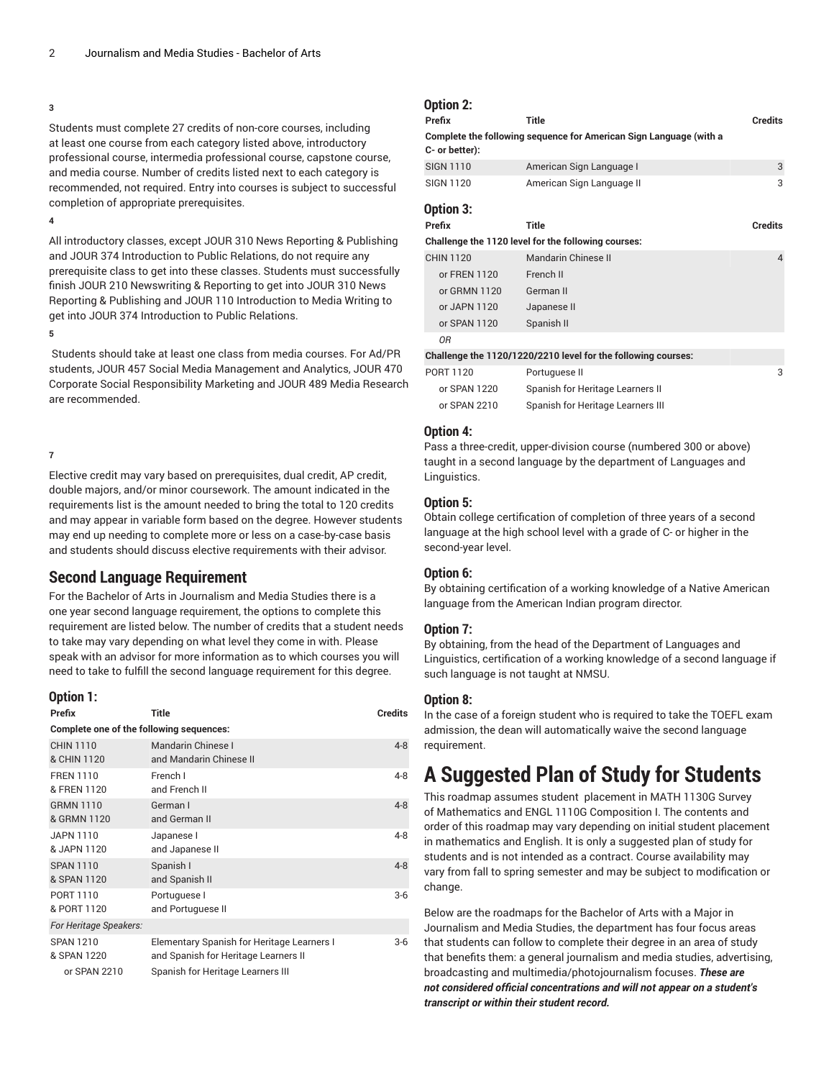#### **3**

Students must complete 27 credits of non-core courses, including at least one course from each category listed above, introductory professional course, intermedia professional course, capstone course, and media course. Number of credits listed next to each category is recommended, not required. Entry into courses is subject to successful completion of appropriate prerequisites.

**4**

All introductory classes, except JOUR 310 News Reporting & Publishing and JOUR 374 Introduction to Public Relations, do not require any prerequisite class to get into these classes. Students must successfully finish JOUR 210 Newswriting & Reporting to get into JOUR 310 News Reporting & Publishing and JOUR 110 Introduction to Media Writing to get into JOUR 374 Introduction to Public Relations.

#### **5**

Students should take at least one class from media courses. For Ad/PR students, JOUR 457 Social Media Management and Analytics, JOUR 470 Corporate Social Responsibility Marketing and JOUR 489 Media Research are recommended.

#### **7**

Elective credit may vary based on prerequisites, dual credit, AP credit, double majors, and/or minor coursework. The amount indicated in the requirements list is the amount needed to bring the total to 120 credits and may appear in variable form based on the degree. However students may end up needing to complete more or less on a case-by-case basis and students should discuss elective requirements with their advisor.

### **Second Language Requirement**

For the Bachelor of Arts in Journalism and Media Studies there is a one year second language requirement, the options to complete this requirement are listed below. The number of credits that a student needs to take may vary depending on what level they come in with. Please speak with an advisor for more information as to which courses you will need to take to fulfill the second language requirement for this degree.

| Option 1:                                       |                                                                                                                         |                |
|-------------------------------------------------|-------------------------------------------------------------------------------------------------------------------------|----------------|
| Prefix                                          | Title                                                                                                                   | <b>Credits</b> |
| Complete one of the following sequences:        |                                                                                                                         |                |
| <b>CHIN 1110</b><br>& CHIN 1120                 | Mandarin Chinese I<br>and Mandarin Chinese II                                                                           | $4 - 8$        |
| <b>FRFN 1110</b><br>& FREN 1120                 | French I<br>and French II                                                                                               | $4 - 8$        |
| <b>GRMN 1110</b><br>& GRMN 1120                 | German I<br>and German II                                                                                               | $4 - 8$        |
| JAPN 1110<br>& JAPN 1120                        | Japanese I<br>and Japanese II                                                                                           | $4 - 8$        |
| <b>SPAN 1110</b><br>& SPAN 1120                 | Spanish I<br>and Spanish II                                                                                             | $4 - 8$        |
| PORT 1110<br>& PORT 1120                        | Portuguese I<br>and Portuguese II                                                                                       | $3-6$          |
| For Heritage Speakers:                          |                                                                                                                         |                |
| <b>SPAN 1210</b><br>& SPAN 1220<br>or SPAN 2210 | Elementary Spanish for Heritage Learners I<br>and Spanish for Heritage Learners II<br>Spanish for Heritage Learners III | $3-6$          |
|                                                 |                                                                                                                         |                |

## **Option 2:**

| Prefix           | <b>Title</b>                                                       | <b>Credits</b> |
|------------------|--------------------------------------------------------------------|----------------|
| C- or better):   | Complete the following sequence for American Sign Language (with a |                |
| <b>SIGN 1110</b> | American Sign Language I                                           | 3              |
| <b>SIGN 1120</b> | American Sign Language II                                          | 3              |
| Option 3:        |                                                                    |                |
| Prefix           | <b>Title</b>                                                       | <b>Credits</b> |
|                  | Challenge the 1120 level for the following courses:                |                |
| <b>CHIN 1120</b> | Mandarin Chinese II                                                | $\overline{4}$ |
| or FREN 1120     | French II                                                          |                |
| or GRMN 1120     | German II                                                          |                |
| or JAPN 1120     | Japanese II                                                        |                |
| or SPAN 1120     | Spanish II                                                         |                |
| ΟR               |                                                                    |                |
|                  | Challenge the 1120/1220/2210 level for the following courses:      |                |
| PORT 1120        | Portuguese II                                                      | 3              |
| or SPAN 1220     | Spanish for Heritage Learners II                                   |                |
| or SPAN 2210     | Spanish for Heritage Learners III                                  |                |

#### **Option 4:**

Pass a three-credit, upper-division course (numbered 300 or above) taught in a second language by the department of Languages and Linguistics.

#### **Option 5:**

Obtain college certification of completion of three years of a second language at the high school level with a grade of C- or higher in the second-year level.

#### **Option 6:**

By obtaining certification of a working knowledge of a Native American language from the American Indian program director.

#### **Option 7:**

By obtaining, from the head of the Department of Languages and Linguistics, certification of a working knowledge of a second language if such language is not taught at NMSU.

#### **Option 8:**

In the case of a foreign student who is required to take the TOEFL exam admission, the dean will automatically waive the second language requirement.

## <span id="page-1-0"></span>**A Suggested Plan of Study for Students**

This roadmap assumes student placement in MATH 1130G Survey of Mathematics and ENGL 1110G Composition I. The contents and order of this roadmap may vary depending on initial student placement in mathematics and English. It is only a suggested plan of study for students and is not intended as a contract. Course availability may vary from fall to spring semester and may be subject to modification or change.

Below are the roadmaps for the Bachelor of Arts with a Major in Journalism and Media Studies, the department has four focus areas that students can follow to complete their degree in an area of study that benefits them: a general journalism and media studies, advertising, broadcasting and multimedia/photojournalism focuses. *These are not considered official concentrations and will not appear on a student's transcript or within their student record.*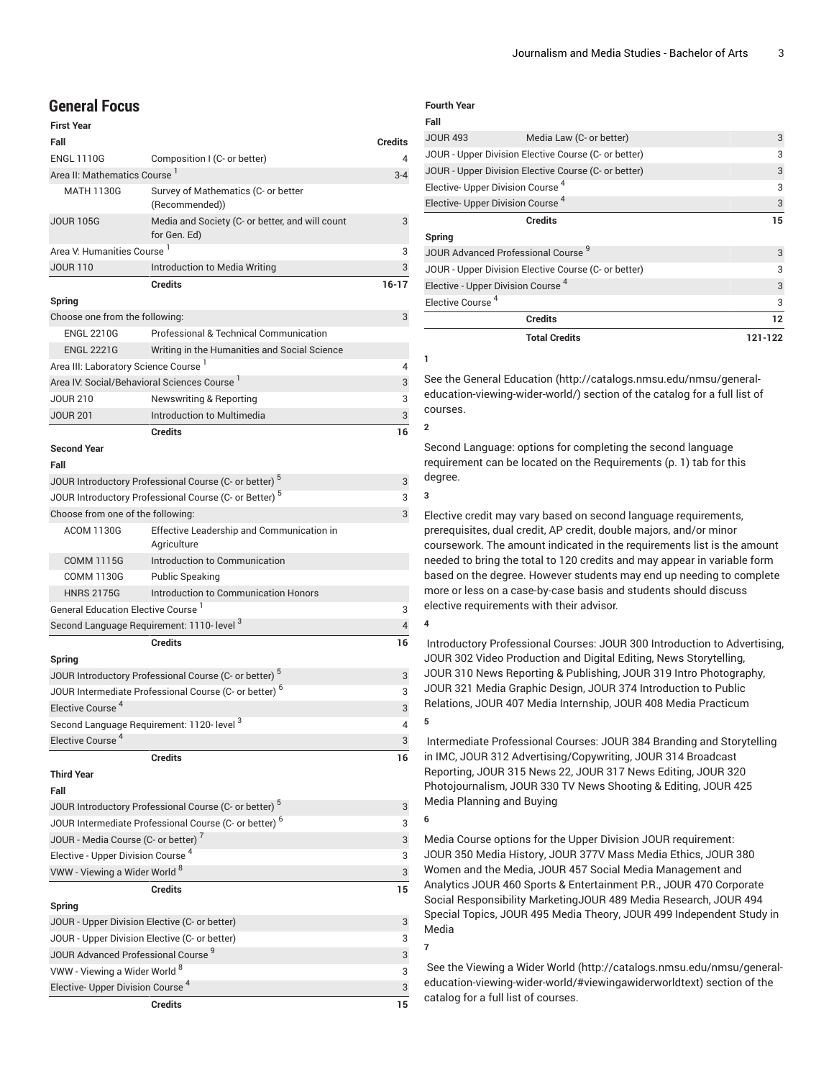## **General Focus**

| <b>First Year</b>                                                          |                                                                   |                |
|----------------------------------------------------------------------------|-------------------------------------------------------------------|----------------|
| Fall                                                                       |                                                                   | <b>Credits</b> |
| <b>ENGL 1110G</b>                                                          | Composition I (C- or better)                                      | $\overline{4}$ |
| Area II: Mathematics Course <sup>1</sup>                                   |                                                                   | $3 - 4$        |
| <b>MATH 1130G</b>                                                          | Survey of Mathematics (C- or better<br>(Recommended))             |                |
| <b>JOUR 105G</b>                                                           | Media and Society (C- or better, and will count<br>for Gen. Ed)   | 3              |
| Area V: Humanities Course <sup>1</sup>                                     |                                                                   | 3              |
| <b>JOUR 110</b>                                                            | Introduction to Media Writing                                     | 3              |
|                                                                            | <b>Credits</b>                                                    | $16 - 17$      |
| Spring                                                                     |                                                                   |                |
| Choose one from the following:                                             |                                                                   | 3              |
| <b>ENGL 2210G</b>                                                          | Professional & Technical Communication                            |                |
| <b>ENGL 2221G</b>                                                          | Writing in the Humanities and Social Science                      |                |
| Area III: Laboratory Science Course '                                      |                                                                   | 4              |
| Area IV: Social/Behavioral Sciences Course 1                               |                                                                   | 3              |
| <b>JOUR 210</b>                                                            | Newswriting & Reporting                                           | 3              |
| <b>JOUR 201</b>                                                            | Introduction to Multimedia                                        | 3              |
|                                                                            | <b>Credits</b>                                                    | 16             |
| <b>Second Year</b>                                                         |                                                                   |                |
| Fall                                                                       |                                                                   |                |
|                                                                            | JOUR Introductory Professional Course (C- or better) <sup>5</sup> | 3              |
|                                                                            | JOUR Introductory Professional Course (C- or Better) <sup>5</sup> | 3              |
| Choose from one of the following:                                          |                                                                   | 3              |
| <b>ACOM 1130G</b>                                                          | Effective Leadership and Communication in                         |                |
|                                                                            | Agriculture<br>Introduction to Communication                      |                |
| <b>COMM 1115G</b>                                                          |                                                                   |                |
| <b>COMM 1130G</b>                                                          | <b>Public Speaking</b>                                            |                |
| <b>HNRS 2175G</b><br><b>General Education Elective Course</b> <sup>1</sup> | Introduction to Communication Honors                              |                |
| Second Language Requirement: 1110- level 3                                 |                                                                   | 3<br>4         |
|                                                                            | <b>Credits</b>                                                    |                |
|                                                                            |                                                                   | 16             |
| Spring                                                                     | JOUR Introductory Professional Course (C- or better) <sup>5</sup> |                |
|                                                                            | JOUR Intermediate Professional Course (C- or better) <sup>6</sup> | 3              |
| Elective Course <sup>4</sup>                                               |                                                                   | 3              |
|                                                                            |                                                                   | 3<br>4         |
| Second Language Requirement: 1120- level 3<br>Elective Course <sup>4</sup> |                                                                   |                |
|                                                                            |                                                                   | 3              |
|                                                                            | <b>Credits</b>                                                    | 16             |
| <b>Third Year</b>                                                          |                                                                   |                |
| Fall                                                                       |                                                                   |                |
|                                                                            | JOUR Introductory Professional Course (C- or better) <sup>5</sup> | 3              |
|                                                                            | JOUR Intermediate Professional Course (C- or better) <sup>6</sup> | 3              |
| JOUR - Media Course (C- or better) <sup>7</sup>                            |                                                                   | 3              |
| Elective - Upper Division Course <sup>4</sup>                              |                                                                   | 3              |
| VWW - Viewing a Wider World 8                                              |                                                                   | 3              |
|                                                                            | <b>Credits</b>                                                    | 15             |
| Spring                                                                     |                                                                   |                |
| JOUR - Upper Division Elective (C- or better)                              |                                                                   | 3              |
| JOUR - Upper Division Elective (C- or better)                              |                                                                   | 3              |
| JOUR Advanced Professional Course <sup>9</sup>                             |                                                                   | 3              |
| VWW - Viewing a Wider World <sup>8</sup>                                   |                                                                   | 3              |
| Elective- Upper Division Course <sup>4</sup>                               |                                                                   | 3              |
|                                                                            | <b>Credits</b>                                                    | 15             |

#### **Fourth Year Fall**

|                                               | <b>Total Credits</b>                                 | 121-122 |
|-----------------------------------------------|------------------------------------------------------|---------|
|                                               | <b>Credits</b>                                       | 12      |
| Elective Course <sup>4</sup>                  |                                                      | 3       |
| Elective - Upper Division Course <sup>4</sup> |                                                      | 3       |
|                                               | JOUR - Upper Division Elective Course (C- or better) | 3       |
| JOUR Advanced Professional Course 9           |                                                      | 3       |
| Spring                                        |                                                      |         |
|                                               | <b>Credits</b>                                       | 15      |
| Elective- Upper Division Course <sup>4</sup>  |                                                      | 3       |
| Elective- Upper Division Course <sup>4</sup>  |                                                      | 3       |
|                                               | JOUR - Upper Division Elective Course (C- or better) | 3       |
|                                               | JOUR - Upper Division Elective Course (C- or better) | 3       |
| <b>JOUR 493</b>                               | Media Law (C- or better)                             | 3       |
| ran                                           |                                                      |         |

See the General [Education](http://catalogs.nmsu.edu/nmsu/general-education-viewing-wider-world/) ([http://catalogs.nmsu.edu/nmsu/general](http://catalogs.nmsu.edu/nmsu/general-education-viewing-wider-world/)[education-viewing-wider-world/\)](http://catalogs.nmsu.edu/nmsu/general-education-viewing-wider-world/) section of the catalog for a full list of courses.

**2**

**1**

Second Language: options for completing the second language requirement can be located on the [Requirements](#page-0-0) ([p. 1\)](#page-0-0) tab for this degree.

**3**

Elective credit may vary based on second language requirements, prerequisites, dual credit, AP credit, double majors, and/or minor coursework. The amount indicated in the requirements list is the amount needed to bring the total to 120 credits and may appear in variable form based on the degree. However students may end up needing to complete more or less on a case-by-case basis and students should discuss elective requirements with their advisor.

**4**

Introductory Professional Courses: JOUR 300 Introduction to Advertising, JOUR 302 Video Production and Digital Editing, News Storytelling, JOUR 310 News Reporting & Publishing, JOUR 319 Intro Photography, JOUR 321 Media Graphic Design, JOUR 374 Introduction to Public Relations, JOUR 407 Media Internship, JOUR 408 Media Practicum **5**

Intermediate Professional Courses: JOUR 384 Branding and Storytelling in IMC, JOUR 312 Advertising/Copywriting, JOUR 314 Broadcast Reporting, JOUR 315 News 22, JOUR 317 News Editing, JOUR 320 Photojournalism, JOUR 330 TV News Shooting & Editing, JOUR 425 Media Planning and Buying

**6**

Media Course options for the Upper Division JOUR requirement: JOUR 350 Media History, JOUR 377V Mass Media Ethics, JOUR 380 Women and the Media, JOUR 457 Social Media Management and Analytics JOUR 460 Sports & Entertainment P.R., JOUR 470 Corporate Social Responsibility MarketingJOUR 489 Media Research, JOUR 494 Special Topics, JOUR 495 Media Theory, JOUR 499 Independent Study in Media

**7**

 See the [Viewing](http://catalogs.nmsu.edu/nmsu/general-education-viewing-wider-world/#viewingawiderworldtext) a Wider World [\(http://catalogs.nmsu.edu/nmsu/general](http://catalogs.nmsu.edu/nmsu/general-education-viewing-wider-world/#viewingawiderworldtext)[education-viewing-wider-world/#viewingawiderworldtext\)](http://catalogs.nmsu.edu/nmsu/general-education-viewing-wider-world/#viewingawiderworldtext) section of the catalog for a full list of courses.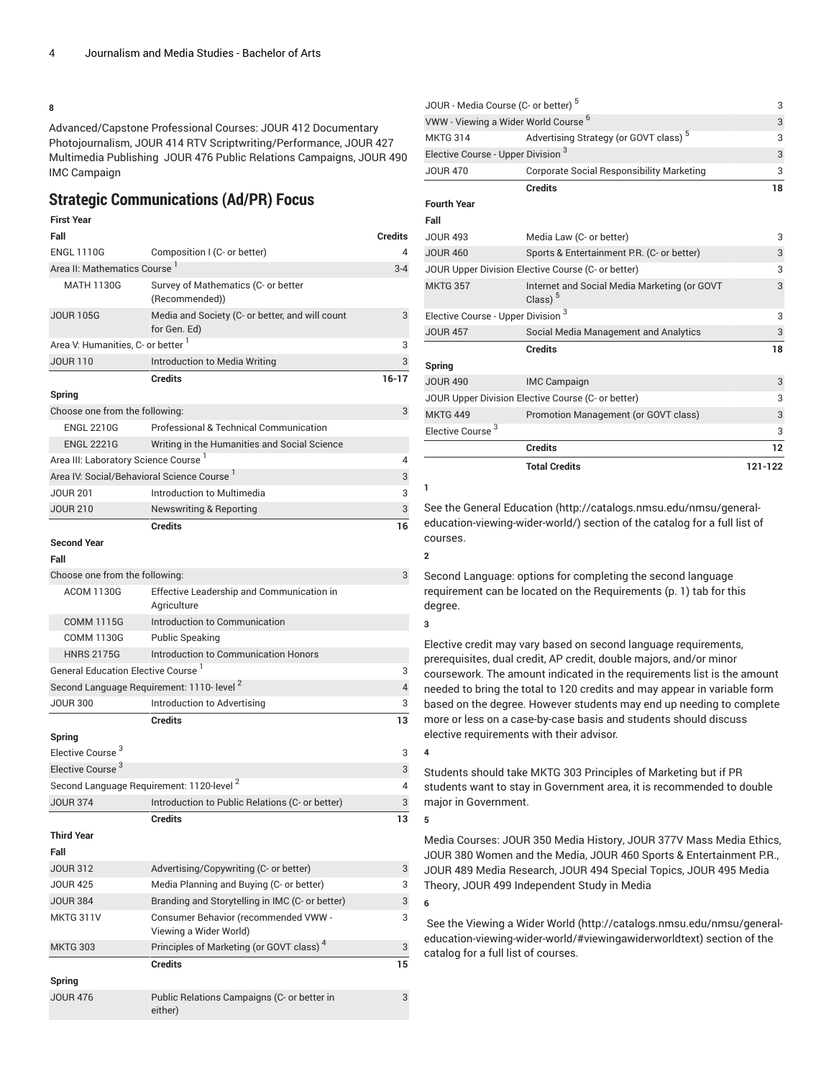#### **8**

Advanced/Capstone Professional Courses: JOUR 412 Documentary Photojournalism, JOUR 414 RTV Scriptwriting/Performance, JOUR 427 Multimedia Publishing JOUR 476 Public Relations Campaigns, JOUR 490 IMC Campaign

## **Strategic Communications (Ad/PR) Focus**

#### **First Year Fall Credits** ENGL 1110G Composition I (C- or better) 4 Area II: Mathematics Course <sup>1</sup> 3-4 MATH 1130G Survey of Mathematics (C- or better (Recommended)) JOUR 105G Media and Society (C- or better, and will count for Gen. Ed) 3 Area V: Humanities, C- or better <sup>1</sup> 3 JOUR 110 Introduction to Media Writing 3 **Credits 16-17 Spring** Choose one from the following: 3 ENGL 2210G Professional & Technical Communication ENGL 2221G Writing in the Humanities and Social Science Area III: Laboratory Science Course 1 4 Area IV: Social/Behavioral Science Course <sup>1</sup> 3 JOUR 201 **Introduction to Multimedia** 3 JOUR 210 Newswriting & Reporting 3 **Credits 16 Second Year Fall** Choose one from the following: 3 ACOM 1130G Effective Leadership and Communication in Agriculture COMM 1115G Introduction to Communication COMM 1130G Public Speaking HNRS 2175G Introduction to Communication Honors General Education Elective Course 1 3 Second Language Requirement: 1110- level<sup>2</sup> 4 JOUR 300 Introduction to Advertising 300 **Credits 13 Spring** Elective Course<sup>3</sup> 3 Elective Course<sup>3</sup> 3 Second Language Requirement: 1120-level<sup>2</sup> 4 JOUR 374 Introduction to Public Relations (C- or better) 3 **Credits 13 Third Year Fall** JOUR 312 Advertising/Copywriting (C- or better) 3 JOUR 425 Media Planning and Buying (C- or better) 3 JOUR 384 Branding and Storytelling in IMC (C- or better) 3 MKTG 311V Consumer Behavior (recommended VWW - Viewing a Wider World) 3 MKTG 303 Principles of Marketing (or GOVT class) 3 **Credits 15 Spring** JOUR 476 Public Relations Campaigns (C- or better in either) 3

|                                                 | <b>Total Credits</b>                                       | 121-122 |
|-------------------------------------------------|------------------------------------------------------------|---------|
|                                                 | <b>Credits</b>                                             | 12      |
| Elective Course                                 |                                                            | 3       |
| <b>MKTG 449</b>                                 | Promotion Management (or GOVT class)                       | 3       |
|                                                 | JOUR Upper Division Elective Course (C- or better)         | 3       |
| <b>JOUR 490</b>                                 | <b>IMC Campaign</b>                                        | 3       |
| Spring                                          | <b>Credits</b>                                             | 18      |
| <b>JOUR 457</b>                                 | Social Media Management and Analytics                      | 3       |
| Elective Course - Upper Division <sup>3</sup>   |                                                            | 3       |
| <b>MKTG 357</b>                                 | Internet and Social Media Marketing (or GOVT<br>Class) $5$ | 3       |
|                                                 | JOUR Upper Division Elective Course (C- or better)         | 3       |
| <b>JOUR 460</b>                                 | Sports & Entertainment P.R. (C- or better)                 | 3       |
| <b>JOUR 493</b>                                 | Media Law (C- or better)                                   | 3       |
| Fall                                            |                                                            |         |
| <b>Fourth Year</b>                              | <b>Credits</b>                                             | 18      |
| <b>JOUR 470</b>                                 | <b>Corporate Social Responsibility Marketing</b>           | 3       |
| Elective Course - Upper Division <sup>3</sup>   |                                                            | 3       |
| <b>MKTG 314</b>                                 | Advertising Strategy (or GOVT class) <sup>5</sup>          | 3       |
| VWW - Viewing a Wider World Course <sup>6</sup> |                                                            | 3       |
| JOUR - Media Course (C- or better) <sup>5</sup> |                                                            |         |

See the General [Education](http://catalogs.nmsu.edu/nmsu/general-education-viewing-wider-world/) ([http://catalogs.nmsu.edu/nmsu/general](http://catalogs.nmsu.edu/nmsu/general-education-viewing-wider-world/)[education-viewing-wider-world/\)](http://catalogs.nmsu.edu/nmsu/general-education-viewing-wider-world/) section of the catalog for a full list of courses.

#### Second Language: options for completing the second language requirement can be located on the [Requirements](#page-0-0) ([p. 1\)](#page-0-0) tab for this degree.

**3**

**4**

**5**

**6**

**1**

**2**

Elective credit may vary based on second language requirements, prerequisites, dual credit, AP credit, double majors, and/or minor coursework. The amount indicated in the requirements list is the amount needed to bring the total to 120 credits and may appear in variable form based on the degree. However students may end up needing to complete more or less on a case-by-case basis and students should discuss elective requirements with their advisor.

Students should take MKTG 303 Principles of Marketing but if PR students want to stay in Government area, it is recommended to double major in Government.

Media Courses: JOUR 350 Media History, JOUR 377V Mass Media Ethics, JOUR 380 Women and the Media, JOUR 460 Sports & Entertainment P.R., JOUR 489 Media Research, JOUR 494 Special Topics, JOUR 495 Media Theory, JOUR 499 Independent Study in Media

 See the [Viewing](http://catalogs.nmsu.edu/nmsu/general-education-viewing-wider-world/#viewingawiderworldtext) a Wider World [\(http://catalogs.nmsu.edu/nmsu/general](http://catalogs.nmsu.edu/nmsu/general-education-viewing-wider-world/#viewingawiderworldtext)[education-viewing-wider-world/#viewingawiderworldtext\)](http://catalogs.nmsu.edu/nmsu/general-education-viewing-wider-world/#viewingawiderworldtext) section of the catalog for a full list of courses.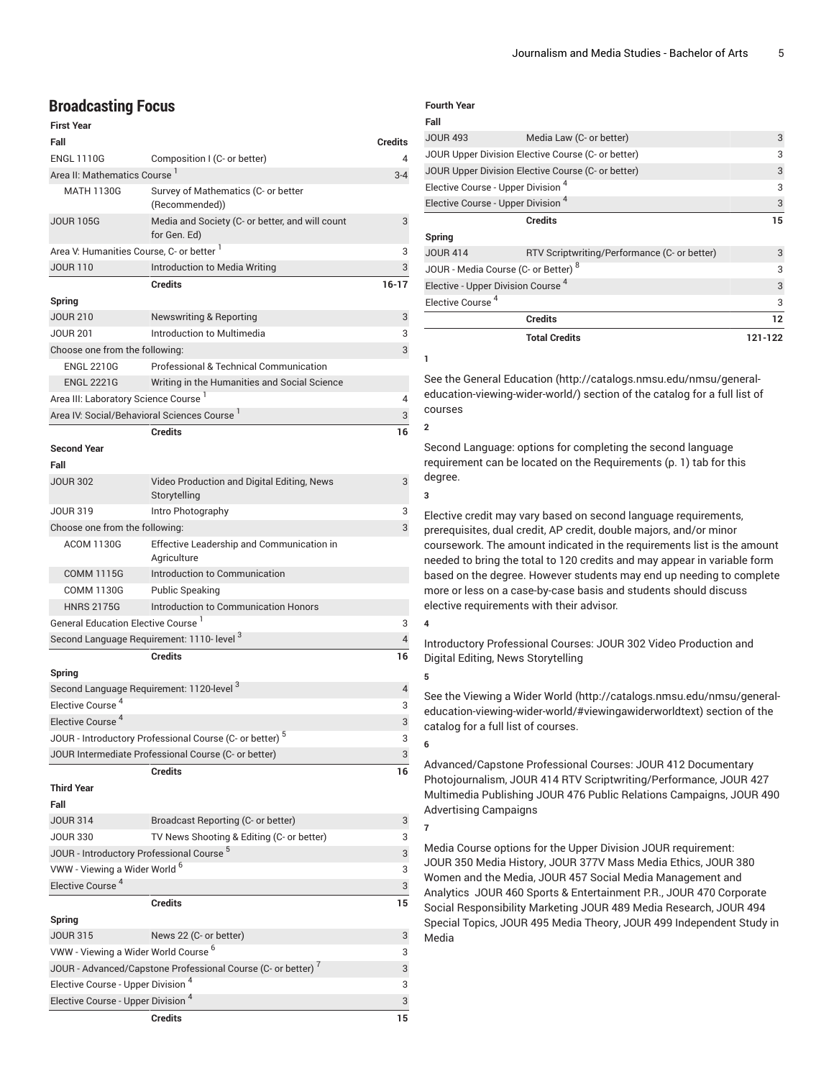## **Broadcasting Focus**

| <b>First Year</b>                                    |                                                                          |                |
|------------------------------------------------------|--------------------------------------------------------------------------|----------------|
| Fall                                                 |                                                                          | <b>Credits</b> |
| <b>ENGL 1110G</b>                                    | Composition I (C- or better)                                             | 4              |
| Area II: Mathematics Course <sup>1</sup>             |                                                                          | $3 - 4$        |
| <b>MATH 1130G</b>                                    | Survey of Mathematics (C- or better<br>(Recommended))                    |                |
| <b>JOUR 105G</b>                                     | Media and Society (C- or better, and will count<br>for Gen. Ed)          | 3              |
| Area V: Humanities Course, C- or better 1            |                                                                          | 3              |
| <b>JOUR 110</b>                                      | Introduction to Media Writing                                            | 3              |
|                                                      | Credits                                                                  | $16-17$        |
| Spring                                               |                                                                          |                |
| <b>JOUR 210</b>                                      | <b>Newswriting &amp; Reporting</b>                                       | 3              |
| <b>JOUR 201</b>                                      | Introduction to Multimedia                                               | 3              |
| Choose one from the following:                       |                                                                          | 3              |
| <b>ENGL 2210G</b>                                    | Professional & Technical Communication                                   |                |
| <b>ENGL 2221G</b>                                    | Writing in the Humanities and Social Science                             |                |
| Area III: Laboratory Science Course <sup>1</sup>     |                                                                          | 4              |
|                                                      | Area IV: Social/Behavioral Sciences Course '                             | 3              |
| <b>Second Year</b><br>Fall                           | <b>Credits</b>                                                           | 16             |
| <b>JOUR 302</b>                                      | Video Production and Digital Editing, News                               | 3              |
|                                                      | Storytelling                                                             |                |
| <b>JOUR 319</b>                                      | Intro Photography                                                        | 3              |
| Choose one from the following:                       |                                                                          | 3              |
| <b>ACOM 1130G</b>                                    | Effective Leadership and Communication in<br>Agriculture                 |                |
| <b>COMM 1115G</b>                                    | Introduction to Communication                                            |                |
| <b>COMM 1130G</b>                                    | <b>Public Speaking</b>                                                   |                |
| <b>HNRS 2175G</b>                                    | Introduction to Communication Honors                                     |                |
| General Education Elective Course <sup>1</sup>       |                                                                          | 3              |
|                                                      | Second Language Requirement: 1110- level 3                               | 4              |
|                                                      | <b>Credits</b>                                                           | 16             |
| Spring                                               |                                                                          |                |
| Elective Course <sup>4</sup>                         | Second Language Requirement: 1120-level <sup>3</sup>                     | 4              |
| Elective Course <sup>4</sup>                         |                                                                          | 3<br>3         |
|                                                      | JOUR - Introductory Professional Course (C- or better) $^5$              | 3              |
|                                                      | JOUR Intermediate Professional Course (C- or better)                     | 3              |
|                                                      | <b>Credits</b>                                                           | 16             |
| <b>Third Year</b>                                    |                                                                          |                |
| Fall                                                 |                                                                          |                |
| <b>JOUR 314</b>                                      | Broadcast Reporting (C- or better)                                       | 3              |
| <b>JOUR 330</b>                                      | TV News Shooting & Editing (C- or better)                                | 3              |
| JOUR - Introductory Professional Course <sup>5</sup> |                                                                          | 3              |
| VWW - Viewing a Wider World <sup>6</sup>             |                                                                          | 3              |
| Elective Course <sup>4</sup>                         |                                                                          | 3              |
|                                                      | <b>Credits</b>                                                           | 15             |
| Spring                                               |                                                                          |                |
| <b>JOUR 315</b>                                      | News 22 (C- or better)                                                   | 3              |
| VWW - Viewing a Wider World Course <sup>6</sup>      |                                                                          | 3              |
|                                                      | JOUR - Advanced/Capstone Professional Course (C- or better) <sup>7</sup> | 3              |
| Elective Course - Upper Division <sup>4</sup>        |                                                                          | 3              |
| Elective Course - Upper Division <sup>4</sup>        |                                                                          | 3              |
|                                                      | <b>Credits</b>                                                           | 15             |

#### **Fourth Year**

| Fall                                          |                                                    |         |
|-----------------------------------------------|----------------------------------------------------|---------|
| <b>JOUR 493</b>                               | Media Law (C- or better)                           | 3       |
|                                               | JOUR Upper Division Elective Course (C- or better) | 3       |
|                                               | JOUR Upper Division Elective Course (C- or better) | 3       |
| Elective Course - Upper Division <sup>4</sup> |                                                    | 3       |
| Elective Course - Upper Division <sup>4</sup> |                                                    | 3       |
|                                               | <b>Credits</b>                                     | 15      |
| Spring                                        |                                                    |         |
| <b>JOUR 414</b>                               | RTV Scriptwriting/Performance (C- or better)       | 3       |
|                                               | JOUR - Media Course (C- or Better) 8               | 3       |
| Elective - Upper Division Course <sup>4</sup> |                                                    | 3       |
| Elective Course <sup>4</sup>                  |                                                    | 3       |
|                                               | <b>Credits</b>                                     | 12      |
|                                               | <b>Total Credits</b>                               | 121-122 |
| ш                                             |                                                    |         |

See the General [Education](http://catalogs.nmsu.edu/nmsu/general-education-viewing-wider-world/) ([http://catalogs.nmsu.edu/nmsu/general](http://catalogs.nmsu.edu/nmsu/general-education-viewing-wider-world/)[education-viewing-wider-world/\)](http://catalogs.nmsu.edu/nmsu/general-education-viewing-wider-world/) section of the catalog for a full list of courses

Second Language: options for completing the second language requirement can be located on the [Requirements](#page-0-0) ([p. 1\)](#page-0-0) tab for this degree.

**3**

**2**

Elective credit may vary based on second language requirements, prerequisites, dual credit, AP credit, double majors, and/or minor coursework. The amount indicated in the requirements list is the amount needed to bring the total to 120 credits and may appear in variable form based on the degree. However students may end up needing to complete more or less on a case-by-case basis and students should discuss elective requirements with their advisor.

## **4**

Introductory Professional Courses: JOUR 302 Video Production and Digital Editing, News Storytelling

**5**

**6**

**7**

See the [Viewing](http://catalogs.nmsu.edu/nmsu/general-education-viewing-wider-world/#viewingawiderworldtext) a Wider World [\(http://catalogs.nmsu.edu/nmsu/general](http://catalogs.nmsu.edu/nmsu/general-education-viewing-wider-world/#viewingawiderworldtext)[education-viewing-wider-world/#viewingawiderworldtext\)](http://catalogs.nmsu.edu/nmsu/general-education-viewing-wider-world/#viewingawiderworldtext) section of the catalog for a full list of courses.

### Advanced/Capstone Professional Courses: [JOUR 412](/search/?P=JOUR%20412) Documentary Photojournalism, [JOUR 414](/search/?P=JOUR%20414) RTV Scriptwriting/Performance, JOUR 427 Multimedia Publishing [JOUR 476](/search/?P=JOUR%20476) Public Relations Campaigns, [JOUR 490](/search/?P=JOUR%20490) Advertising Campaigns

Media Course options for the Upper Division JOUR requirement: [JOUR 350](/search/?P=JOUR%20350) Media History, [JOUR 377V](/search/?P=JOUR%20377V) Mass Media Ethics, [JOUR 380](/search/?P=JOUR%20380) Women and the Media, JOUR 457 Social Media Management and Analytics [JOUR 460](/search/?P=JOUR%20460) Sports & Entertainment P.R., JOUR 470 Corporate Social Responsibility Marketing [JOUR 489](/search/?P=JOUR%20489) Media Research, [JOUR 494](/search/?P=JOUR%20494) Special Topics, [JOUR 495](/search/?P=JOUR%20495) Media Theory, [JOUR 499](/search/?P=JOUR%20499) Independent Study in Media